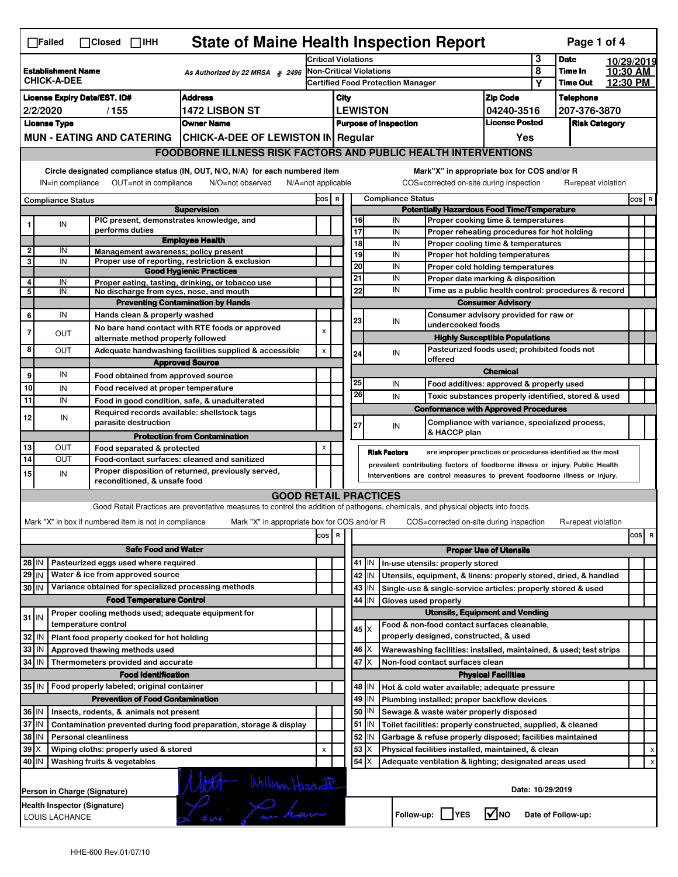|                                                                             | <b>State of Maine Health Inspection Report</b><br>Page 1 of 4<br>$\Box$ Failed<br>$\Box$ Closed $\Box$ IHH |  |                                     |                                                       |                                                                                                                                   |                |                                                                     |                                                                                |                                                         |                              |                                                              |                                                                                       |                                   |            |                      |                      |                                |
|-----------------------------------------------------------------------------|------------------------------------------------------------------------------------------------------------|--|-------------------------------------|-------------------------------------------------------|-----------------------------------------------------------------------------------------------------------------------------------|----------------|---------------------------------------------------------------------|--------------------------------------------------------------------------------|---------------------------------------------------------|------------------------------|--------------------------------------------------------------|---------------------------------------------------------------------------------------|-----------------------------------|------------|----------------------|----------------------|--------------------------------|
|                                                                             |                                                                                                            |  |                                     |                                                       | <b>Critical Violations</b>                                                                                                        |                |                                                                     |                                                                                |                                                         |                              | 3                                                            | <b>Date</b>                                                                           |                                   | 10/29/2019 |                      |                      |                                |
|                                                                             | <b>Establishment Name</b><br>As Authorized by 22 MRSA § 2496<br><b>CHICK-A-DEE</b>                         |  |                                     |                                                       |                                                                                                                                   |                | Non-Critical Violations<br><b>Certified Food Protection Manager</b> |                                                                                |                                                         |                              |                                                              | 8<br>Υ                                                                                | <b>Time In</b><br><b>Time Out</b> |            | 10:30 AM<br>12:30 PM |                      |                                |
|                                                                             |                                                                                                            |  | <b>License Expiry Date/EST. ID#</b> |                                                       | <b>Address</b>                                                                                                                    |                | City                                                                |                                                                                |                                                         |                              |                                                              |                                                                                       | <b>Zip Code</b>                   |            | <b>Telephone</b>     |                      |                                |
|                                                                             | 2/2/2020<br>1472 LISBON ST<br>/155                                                                         |  |                                     |                                                       |                                                                                                                                   |                |                                                                     |                                                                                |                                                         | <b>LEWISTON</b>              |                                                              |                                                                                       | 04240-3516                        |            | 207-376-3870         |                      |                                |
|                                                                             | <b>License Type</b><br><b>Owner Name</b>                                                                   |  |                                     |                                                       |                                                                                                                                   |                |                                                                     |                                                                                |                                                         | <b>Purpose of Inspection</b> |                                                              |                                                                                       | <b>License Posted</b>             |            |                      | <b>Risk Category</b> |                                |
|                                                                             | <b>MUN - EATING AND CATERING</b><br>CHICK-A-DEE OF LEWISTON IN Regular                                     |  |                                     |                                                       |                                                                                                                                   |                | Yes                                                                 |                                                                                |                                                         |                              |                                                              |                                                                                       |                                   |            |                      |                      |                                |
|                                                                             |                                                                                                            |  |                                     |                                                       |                                                                                                                                   |                |                                                                     | <b>FOODBORNE ILLNESS RISK FACTORS AND PUBLIC HEALTH INTERVENTIONS</b>          |                                                         |                              |                                                              |                                                                                       |                                   |            |                      |                      |                                |
|                                                                             | Circle designated compliance status (IN, OUT, N/O, N/A) for each numbered item                             |  |                                     |                                                       |                                                                                                                                   |                |                                                                     |                                                                                |                                                         |                              |                                                              | Mark"X" in appropriate box for COS and/or R                                           |                                   |            |                      |                      |                                |
|                                                                             | OUT=not in compliance<br>IN=in compliance<br>N/O=not observed<br>$N/A = not$ applicable                    |  |                                     |                                                       |                                                                                                                                   |                |                                                                     |                                                                                |                                                         |                              |                                                              | COS=corrected on-site during inspection                                               |                                   |            |                      | R=repeat violation   |                                |
| <b>Compliance Status</b>                                                    |                                                                                                            |  |                                     |                                                       | COS R                                                                                                                             |                |                                                                     | <b>Compliance Status</b><br><b>Potentially Hazardous Food Time/Temperature</b> |                                                         |                              |                                                              |                                                                                       |                                   |            | COS R                |                      |                                |
|                                                                             |                                                                                                            |  |                                     |                                                       | <b>Supervision</b><br>PIC present, demonstrates knowledge, and                                                                    |                |                                                                     |                                                                                | 16                                                      |                              | IN                                                           | Proper cooking time & temperatures                                                    |                                   |            |                      |                      |                                |
|                                                                             | IN                                                                                                         |  | performs duties                     |                                                       |                                                                                                                                   |                |                                                                     |                                                                                | 17                                                      |                              | IN                                                           | Proper reheating procedures for hot holding                                           |                                   |            |                      |                      |                                |
| $\mathbf{2}$                                                                | IN                                                                                                         |  |                                     |                                                       | <b>Employee Health</b><br>Management awareness: policy present                                                                    |                |                                                                     |                                                                                | 18                                                      |                              | IN                                                           | Proper cooling time & temperatures                                                    |                                   |            |                      |                      |                                |
| 3                                                                           | IN                                                                                                         |  |                                     |                                                       | Proper use of reporting, restriction & exclusion                                                                                  |                |                                                                     |                                                                                | 19                                                      |                              | IN                                                           | <b>Proper hot holding temperatures</b>                                                |                                   |            |                      |                      |                                |
|                                                                             |                                                                                                            |  |                                     |                                                       | <b>Good Hygienic Practices</b>                                                                                                    |                |                                                                     |                                                                                | 20<br>21                                                |                              | IN<br>IN                                                     | Proper cold holding temperatures<br>Proper date marking & disposition                 |                                   |            |                      |                      |                                |
| 4<br>5                                                                      | IN<br>IN                                                                                                   |  |                                     |                                                       | Proper eating, tasting, drinking, or tobacco use<br>No discharge from eyes, nose, and mouth                                       |                |                                                                     |                                                                                | 22                                                      |                              | IN                                                           | Time as a public health control: procedures & record                                  |                                   |            |                      |                      |                                |
|                                                                             |                                                                                                            |  |                                     |                                                       | <b>Preventing Contamination by Hands</b>                                                                                          |                |                                                                     |                                                                                |                                                         |                              |                                                              |                                                                                       | <b>Consumer Advisory</b>          |            |                      |                      |                                |
| 6                                                                           | IN                                                                                                         |  |                                     | Hands clean & properly washed                         |                                                                                                                                   |                |                                                                     |                                                                                |                                                         |                              |                                                              | Consumer advisory provided for raw or                                                 |                                   |            |                      |                      |                                |
|                                                                             |                                                                                                            |  |                                     |                                                       | No bare hand contact with RTE foods or approved                                                                                   | $\pmb{\times}$ |                                                                     |                                                                                | 23                                                      |                              | IN                                                           | undercooked foods                                                                     |                                   |            |                      |                      |                                |
| 7                                                                           | <b>OUT</b>                                                                                                 |  |                                     | alternate method properly followed                    |                                                                                                                                   |                |                                                                     |                                                                                |                                                         |                              |                                                              | <b>Highly Susceptible Populations</b>                                                 |                                   |            |                      |                      |                                |
| 8                                                                           | OUT                                                                                                        |  |                                     |                                                       | Adequate handwashing facilities supplied & accessible                                                                             | $\pmb{\times}$ |                                                                     |                                                                                | 24                                                      |                              | IN                                                           | Pasteurized foods used; prohibited foods not<br>offered                               |                                   |            |                      |                      |                                |
|                                                                             |                                                                                                            |  |                                     |                                                       | <b>Approved Source</b>                                                                                                            |                |                                                                     |                                                                                |                                                         |                              |                                                              |                                                                                       | <b>Chemical</b>                   |            |                      |                      |                                |
| 9                                                                           | IN                                                                                                         |  |                                     |                                                       | Food obtained from approved source                                                                                                |                |                                                                     |                                                                                | 25                                                      |                              | IN                                                           | Food additives: approved & properly used                                              |                                   |            |                      |                      |                                |
| 10<br>11                                                                    | IN<br>IN                                                                                                   |  |                                     |                                                       | Food received at proper temperature                                                                                               |                |                                                                     |                                                                                | 26                                                      |                              | IN                                                           | Toxic substances properly identified, stored & used                                   |                                   |            |                      |                      |                                |
|                                                                             |                                                                                                            |  |                                     |                                                       | Food in good condition, safe, & unadulterated<br>Required records available: shellstock tags                                      |                |                                                                     |                                                                                |                                                         |                              |                                                              | <b>Conformance with Approved Procedures</b>                                           |                                   |            |                      |                      |                                |
| 12                                                                          | IN                                                                                                         |  |                                     | parasite destruction                                  |                                                                                                                                   |                |                                                                     |                                                                                | 27                                                      |                              | IN                                                           | Compliance with variance, specialized process,                                        |                                   |            |                      |                      |                                |
|                                                                             |                                                                                                            |  |                                     |                                                       | <b>Protection from Contamination</b>                                                                                              |                |                                                                     |                                                                                |                                                         |                              |                                                              | & HACCP plan                                                                          |                                   |            |                      |                      |                                |
| 13                                                                          | OUT                                                                                                        |  |                                     | Food separated & protected                            |                                                                                                                                   | X              |                                                                     |                                                                                |                                                         | <b>Risk Factors</b>          |                                                              | are improper practices or procedures identified as the most                           |                                   |            |                      |                      |                                |
| 14                                                                          | OUT                                                                                                        |  |                                     |                                                       | Food-contact surfaces: cleaned and sanitized                                                                                      |                |                                                                     |                                                                                |                                                         |                              |                                                              | prevalent contributing factors of foodborne illness or injury. Public Health          |                                   |            |                      |                      |                                |
| 15                                                                          | IN                                                                                                         |  |                                     | reconditioned, & unsafe food                          | Proper disposition of returned, previously served,                                                                                |                |                                                                     |                                                                                |                                                         |                              |                                                              | Interventions are control measures to prevent foodborne illness or injury.            |                                   |            |                      |                      |                                |
|                                                                             |                                                                                                            |  |                                     |                                                       | <b>GOOD RETAIL PRACTICES</b>                                                                                                      |                |                                                                     |                                                                                |                                                         |                              |                                                              |                                                                                       |                                   |            |                      |                      |                                |
|                                                                             |                                                                                                            |  |                                     |                                                       | Good Retail Practices are preventative measures to control the addition of pathogens, chemicals, and physical objects into foods. |                |                                                                     |                                                                                |                                                         |                              |                                                              |                                                                                       |                                   |            |                      |                      |                                |
|                                                                             |                                                                                                            |  |                                     | Mark "X" in box if numbered item is not in compliance | Mark "X" in appropriate box for COS and/or R                                                                                      |                |                                                                     |                                                                                |                                                         |                              |                                                              | COS=corrected on-site during inspection                                               |                                   |            | R=repeat violation   |                      |                                |
|                                                                             |                                                                                                            |  |                                     |                                                       |                                                                                                                                   | COS R          |                                                                     |                                                                                |                                                         |                              |                                                              |                                                                                       |                                   |            |                      |                      | cos<br>$\overline{\mathbf{R}}$ |
|                                                                             |                                                                                                            |  |                                     | <b>Safe Food and Water</b>                            |                                                                                                                                   |                |                                                                     |                                                                                |                                                         |                              |                                                              |                                                                                       | <b>Proper Use of Utensils</b>     |            |                      |                      |                                |
| 28 IN                                                                       |                                                                                                            |  |                                     | Pasteurized eggs used where required                  |                                                                                                                                   |                |                                                                     |                                                                                | $41$ IN                                                 |                              |                                                              | In-use utensils: properly stored                                                      |                                   |            |                      |                      |                                |
| $29$ IN                                                                     |                                                                                                            |  |                                     | Water & ice from approved source                      |                                                                                                                                   |                |                                                                     |                                                                                | 42<br>IN                                                |                              |                                                              | Utensils, equipment, & linens: properly stored, dried, & handled                      |                                   |            |                      |                      |                                |
| 30 IN                                                                       |                                                                                                            |  |                                     |                                                       | Variance obtained for specialized processing methods                                                                              |                |                                                                     |                                                                                | 43<br>IN                                                |                              |                                                              | Single-use & single-service articles: properly stored & used                          |                                   |            |                      |                      |                                |
|                                                                             |                                                                                                            |  |                                     | <b>Food Temperature Control</b>                       |                                                                                                                                   |                |                                                                     |                                                                                | 44<br>IN<br>Gloves used properly                        |                              |                                                              |                                                                                       |                                   |            |                      |                      |                                |
| $31$ IN                                                                     |                                                                                                            |  |                                     |                                                       | Proper cooling methods used; adequate equipment for                                                                               |                |                                                                     |                                                                                |                                                         |                              |                                                              | <b>Utensils, Equipment and Vending</b>                                                |                                   |            |                      |                      |                                |
| 32                                                                          | IN                                                                                                         |  | temperature control                 | Plant food properly cooked for hot holding            |                                                                                                                                   |                |                                                                     |                                                                                | 45 I X                                                  |                              |                                                              | Food & non-food contact surfaces cleanable,<br>properly designed, constructed, & used |                                   |            |                      |                      |                                |
| 33                                                                          | IN                                                                                                         |  |                                     | Approved thawing methods used                         |                                                                                                                                   |                |                                                                     |                                                                                | 46<br>ΙX                                                |                              |                                                              | Warewashing facilities: installed, maintained, & used; test strips                    |                                   |            |                      |                      |                                |
| 34 IN                                                                       |                                                                                                            |  |                                     | Thermometers provided and accurate                    |                                                                                                                                   |                |                                                                     |                                                                                | 47<br>ΙX                                                |                              |                                                              | Non-food contact surfaces clean                                                       |                                   |            |                      |                      |                                |
|                                                                             |                                                                                                            |  |                                     | <b>Food Identification</b>                            |                                                                                                                                   |                |                                                                     |                                                                                |                                                         |                              |                                                              |                                                                                       | <b>Physical Facilities</b>        |            |                      |                      |                                |
|                                                                             |                                                                                                            |  |                                     | 35   IN   Food properly labeled; original container   |                                                                                                                                   |                |                                                                     |                                                                                | 48   IN                                                 |                              |                                                              | Hot & cold water available; adequate pressure                                         |                                   |            |                      |                      |                                |
| <b>Prevention of Food Contamination</b>                                     |                                                                                                            |  |                                     |                                                       |                                                                                                                                   |                |                                                                     | 49<br>IN                                                                       |                                                         |                              | Plumbing installed; proper backflow devices                  |                                                                                       |                                   |            |                      |                      |                                |
| 36 IN<br>Insects, rodents, & animals not present                            |                                                                                                            |  |                                     |                                                       |                                                                                                                                   |                |                                                                     | 50 IN<br>Sewage & waste water properly disposed                                |                                                         |                              |                                                              |                                                                                       |                                   |            |                      |                      |                                |
| 37 IN<br>Contamination prevented during food preparation, storage & display |                                                                                                            |  |                                     |                                                       |                                                                                                                                   |                |                                                                     | $51$ M                                                                         |                                                         |                              | Toilet facilities: properly constructed, supplied, & cleaned |                                                                                       |                                   |            |                      |                      |                                |
| 38 IN<br><b>Personal cleanliness</b>                                        |                                                                                                            |  |                                     |                                                       |                                                                                                                                   |                |                                                                     | 52<br>IN<br>Garbage & refuse properly disposed; facilities maintained          |                                                         |                              |                                                              |                                                                                       |                                   |            |                      |                      |                                |
| $39 \times$                                                                 |                                                                                                            |  |                                     | Wiping cloths: properly used & stored                 |                                                                                                                                   | X              |                                                                     | 53<br>X<br>Physical facilities installed, maintained, & clean                  |                                                         |                              |                                                              |                                                                                       |                                   |            | Х                    |                      |                                |
| 40 IN                                                                       |                                                                                                            |  | Washing fruits & vegetables         |                                                       |                                                                                                                                   |                |                                                                     | 54<br>Adequate ventilation & lighting; designated areas used<br>х              |                                                         |                              |                                                              |                                                                                       |                                   |            | Χ                    |                      |                                |
| Att William Hirdall<br>Date: 10/29/2019<br>Person in Charge (Signature)     |                                                                                                            |  |                                     |                                                       |                                                                                                                                   |                |                                                                     |                                                                                |                                                         |                              |                                                              |                                                                                       |                                   |            |                      |                      |                                |
|                                                                             | Health Inspector (Signature)<br>LOUIS LACHANCE                                                             |  |                                     |                                                       |                                                                                                                                   |                |                                                                     |                                                                                | <b>M</b> NO<br>Follow-up:     YES<br>Date of Follow-up: |                              |                                                              |                                                                                       |                                   |            |                      |                      |                                |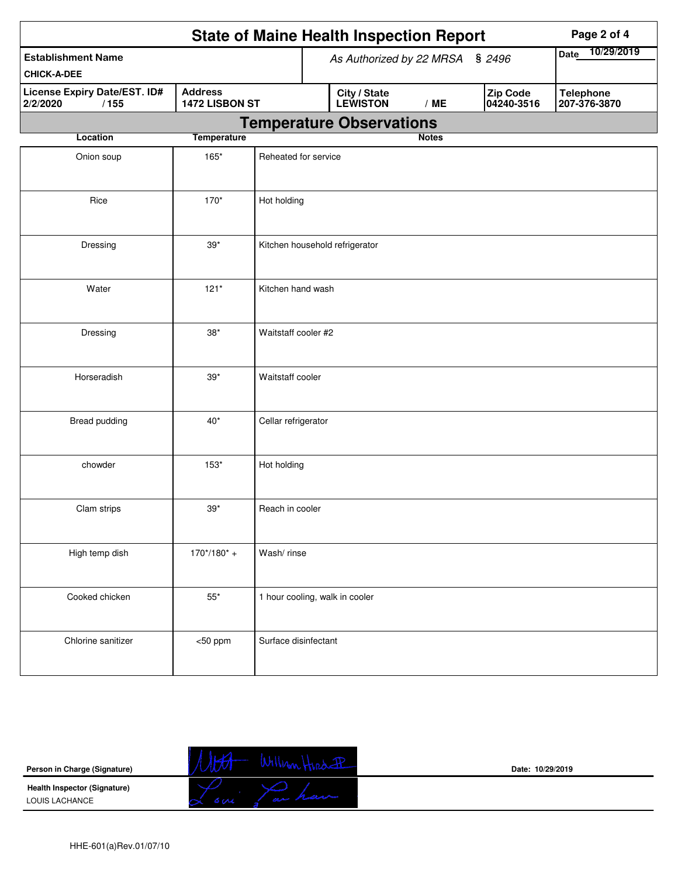| <b>State of Maine Health Inspection Report</b><br>Page 2 of 4 |                                  |                      |                                 |                                 |                           |                                  |  |  |  |  |
|---------------------------------------------------------------|----------------------------------|----------------------|---------------------------------|---------------------------------|---------------------------|----------------------------------|--|--|--|--|
| <b>Establishment Name</b>                                     |                                  |                      | As Authorized by 22 MRSA § 2496 |                                 | 10/29/2019<br><b>Date</b> |                                  |  |  |  |  |
| <b>CHICK-A-DEE</b>                                            |                                  |                      |                                 |                                 |                           |                                  |  |  |  |  |
| License Expiry Date/EST. ID#<br>/155<br>2/2/2020              | <b>Address</b><br>1472 LISBON ST |                      | City / State<br>LEWISTON        | /ME                             | Zip Code<br>04240-3516    | <b>Telephone</b><br>207-376-3870 |  |  |  |  |
|                                                               |                                  |                      |                                 | <b>Temperature Observations</b> |                           |                                  |  |  |  |  |
| Location                                                      | <b>Temperature</b>               |                      |                                 |                                 | <b>Notes</b>              |                                  |  |  |  |  |
| Onion soup                                                    | 165*                             | Reheated for service |                                 |                                 |                           |                                  |  |  |  |  |
| Rice                                                          | 170*                             | Hot holding          |                                 |                                 |                           |                                  |  |  |  |  |
| Dressing                                                      | $39*$                            |                      |                                 | Kitchen household refrigerator  |                           |                                  |  |  |  |  |
| Water                                                         | $121*$                           | Kitchen hand wash    |                                 |                                 |                           |                                  |  |  |  |  |
| Dressing                                                      | $38*$                            | Waitstaff cooler #2  |                                 |                                 |                           |                                  |  |  |  |  |
| Horseradish                                                   | $39*$                            | Waitstaff cooler     |                                 |                                 |                           |                                  |  |  |  |  |
| Bread pudding                                                 | $40*$                            | Cellar refrigerator  |                                 |                                 |                           |                                  |  |  |  |  |
| chowder                                                       | $153*$                           | Hot holding          |                                 |                                 |                           |                                  |  |  |  |  |
| Clam strips                                                   | $39*$                            | Reach in cooler      |                                 |                                 |                           |                                  |  |  |  |  |
| High temp dish                                                | $170*/180* +$                    | Wash/rinse           |                                 |                                 |                           |                                  |  |  |  |  |
| Cooked chicken                                                | $55^{\ast}$                      |                      |                                 | 1 hour cooling, walk in cooler  |                           |                                  |  |  |  |  |
| Chlorine sanitizer                                            | $<$ 50 ppm                       | Surface disinfectant |                                 |                                 |                           |                                  |  |  |  |  |

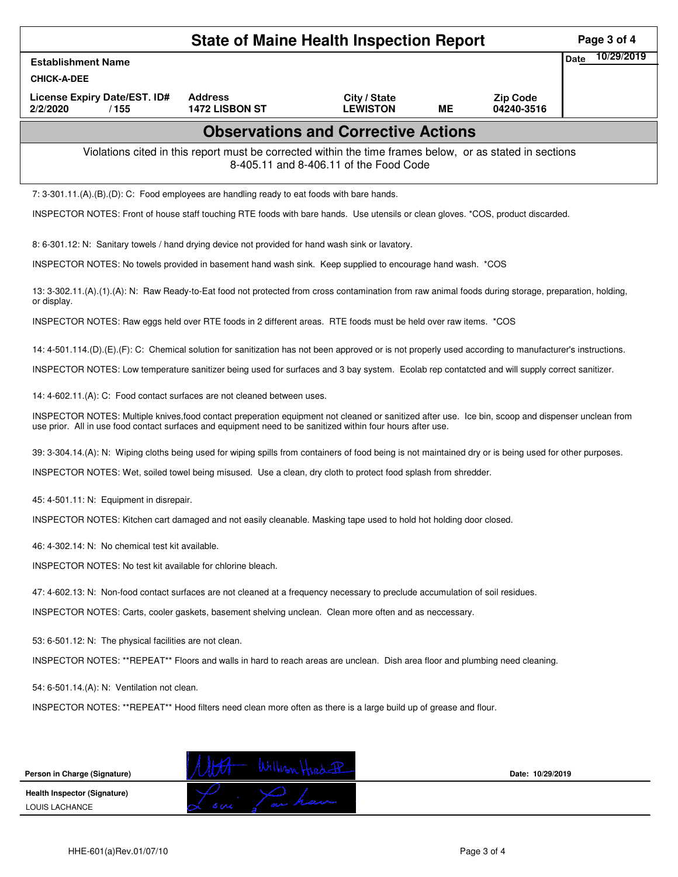| <b>State of Maine Health Inspection Report</b><br>Page 3 of 4                                                                                                        |                                                                                                                                                                                                                                                                   |                                 |           |                               |                           |  |  |  |  |  |
|----------------------------------------------------------------------------------------------------------------------------------------------------------------------|-------------------------------------------------------------------------------------------------------------------------------------------------------------------------------------------------------------------------------------------------------------------|---------------------------------|-----------|-------------------------------|---------------------------|--|--|--|--|--|
| <b>Establishment Name</b><br><b>CHICK-A-DEE</b>                                                                                                                      |                                                                                                                                                                                                                                                                   |                                 |           |                               | 10/29/2019<br><b>Date</b> |  |  |  |  |  |
| License Expiry Date/EST. ID#<br>2/2/2020<br>/155                                                                                                                     | <b>Address</b><br>1472 LISBON ST                                                                                                                                                                                                                                  | City / State<br><b>LEWISTON</b> | <b>ME</b> | <b>Zip Code</b><br>04240-3516 |                           |  |  |  |  |  |
| <b>Observations and Corrective Actions</b>                                                                                                                           |                                                                                                                                                                                                                                                                   |                                 |           |                               |                           |  |  |  |  |  |
| Violations cited in this report must be corrected within the time frames below, or as stated in sections<br>8-405.11 and 8-406.11 of the Food Code                   |                                                                                                                                                                                                                                                                   |                                 |           |                               |                           |  |  |  |  |  |
| 7: 3-301.11.(A).(B).(D): C: Food employees are handling ready to eat foods with bare hands.                                                                          |                                                                                                                                                                                                                                                                   |                                 |           |                               |                           |  |  |  |  |  |
| INSPECTOR NOTES: Front of house staff touching RTE foods with bare hands. Use utensils or clean gloves. *COS, product discarded.                                     |                                                                                                                                                                                                                                                                   |                                 |           |                               |                           |  |  |  |  |  |
| 8: 6-301.12: N: Sanitary towels / hand drying device not provided for hand wash sink or lavatory.                                                                    |                                                                                                                                                                                                                                                                   |                                 |           |                               |                           |  |  |  |  |  |
| INSPECTOR NOTES: No towels provided in basement hand wash sink. Keep supplied to encourage hand wash. * COS                                                          |                                                                                                                                                                                                                                                                   |                                 |           |                               |                           |  |  |  |  |  |
| 13: 3-302.11.(A).(1).(A): N: Raw Ready-to-Eat food not protected from cross contamination from raw animal foods during storage, preparation, holding,<br>or display. |                                                                                                                                                                                                                                                                   |                                 |           |                               |                           |  |  |  |  |  |
| INSPECTOR NOTES: Raw eggs held over RTE foods in 2 different areas. RTE foods must be held over raw items. *COS                                                      |                                                                                                                                                                                                                                                                   |                                 |           |                               |                           |  |  |  |  |  |
| 14: 4-501.114.(D).(E).(F): C: Chemical solution for sanitization has not been approved or is not properly used according to manufacturer's instructions.             |                                                                                                                                                                                                                                                                   |                                 |           |                               |                           |  |  |  |  |  |
| INSPECTOR NOTES: Low temperature sanitizer being used for surfaces and 3 bay system. Ecolab rep contatcted and will supply correct sanitizer.                        |                                                                                                                                                                                                                                                                   |                                 |           |                               |                           |  |  |  |  |  |
|                                                                                                                                                                      | 14: 4-602.11.(A): C: Food contact surfaces are not cleaned between uses.                                                                                                                                                                                          |                                 |           |                               |                           |  |  |  |  |  |
|                                                                                                                                                                      | INSPECTOR NOTES: Multiple knives, food contact preperation equipment not cleaned or sanitized after use. Ice bin, scoop and dispenser unclean from<br>use prior. All in use food contact surfaces and equipment need to be sanitized within four hours after use. |                                 |           |                               |                           |  |  |  |  |  |
| 39: 3-304.14.(A): N: Wiping cloths being used for wiping spills from containers of food being is not maintained dry or is being used for other purposes.             |                                                                                                                                                                                                                                                                   |                                 |           |                               |                           |  |  |  |  |  |
| INSPECTOR NOTES: Wet, soiled towel being misused. Use a clean, dry cloth to protect food splash from shredder.                                                       |                                                                                                                                                                                                                                                                   |                                 |           |                               |                           |  |  |  |  |  |
| 45: 4-501.11: N: Equipment in disrepair.                                                                                                                             |                                                                                                                                                                                                                                                                   |                                 |           |                               |                           |  |  |  |  |  |
| INSPECTOR NOTES: Kitchen cart damaged and not easily cleanable. Masking tape used to hold hot holding door closed.                                                   |                                                                                                                                                                                                                                                                   |                                 |           |                               |                           |  |  |  |  |  |
| 46: 4-302.14: N: No chemical test kit available.                                                                                                                     |                                                                                                                                                                                                                                                                   |                                 |           |                               |                           |  |  |  |  |  |
| <b>INSPECTOR NOTES: No test kit available for chlorine bleach.</b>                                                                                                   |                                                                                                                                                                                                                                                                   |                                 |           |                               |                           |  |  |  |  |  |
|                                                                                                                                                                      | 47: 4-602.13: N: Non-food contact surfaces are not cleaned at a frequency necessary to preclude accumulation of soil residues.                                                                                                                                    |                                 |           |                               |                           |  |  |  |  |  |
| INSPECTOR NOTES: Carts, cooler gaskets, basement shelving unclean. Clean more often and as neccessary.                                                               |                                                                                                                                                                                                                                                                   |                                 |           |                               |                           |  |  |  |  |  |
| 53: 6-501.12: N: The physical facilities are not clean.                                                                                                              |                                                                                                                                                                                                                                                                   |                                 |           |                               |                           |  |  |  |  |  |
| INSPECTOR NOTES: **REPEAT** Floors and walls in hard to reach areas are unclean. Dish area floor and plumbing need cleaning.                                         |                                                                                                                                                                                                                                                                   |                                 |           |                               |                           |  |  |  |  |  |
| 54: 6-501.14.(A): N: Ventilation not clean.                                                                                                                          |                                                                                                                                                                                                                                                                   |                                 |           |                               |                           |  |  |  |  |  |
| INSPECTOR NOTES: **REPEAT** Hood filters need clean more often as there is a large build up of grease and flour.                                                     |                                                                                                                                                                                                                                                                   |                                 |           |                               |                           |  |  |  |  |  |
|                                                                                                                                                                      |                                                                                                                                                                                                                                                                   |                                 |           |                               |                           |  |  |  |  |  |
|                                                                                                                                                                      |                                                                                                                                                                                                                                                                   |                                 |           |                               |                           |  |  |  |  |  |
| Person in Charge (Signature)                                                                                                                                         | William Hird-PP                                                                                                                                                                                                                                                   |                                 |           | Date: 10/29/2019              |                           |  |  |  |  |  |
| Health Inspector (Signature)<br>LOUIS LACHANCE                                                                                                                       |                                                                                                                                                                                                                                                                   |                                 |           |                               |                           |  |  |  |  |  |
|                                                                                                                                                                      |                                                                                                                                                                                                                                                                   |                                 |           |                               |                           |  |  |  |  |  |